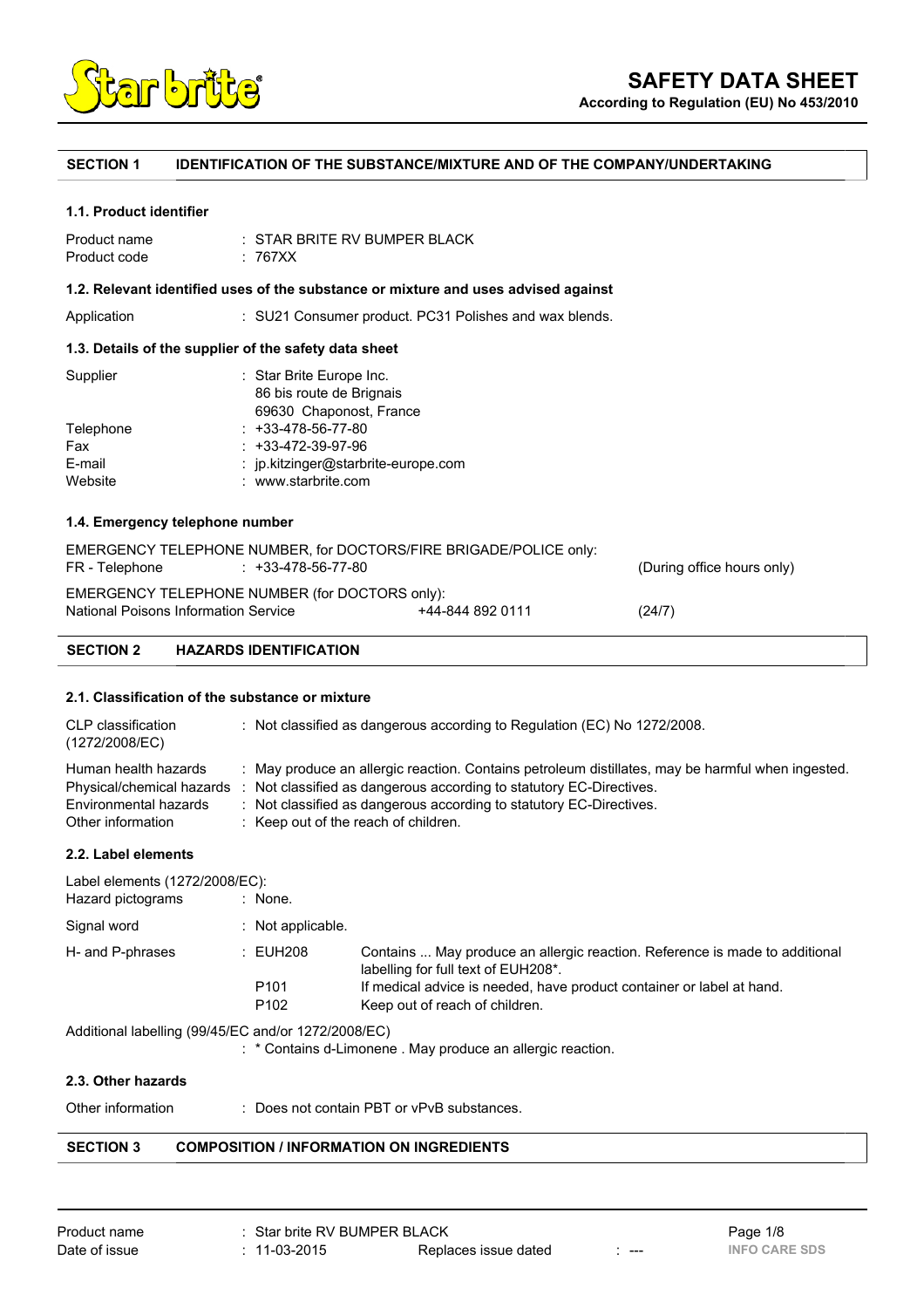

**According to Regulation (EU) No 453/2010**

# **SECTION 1 IDENTIFICATION OF THE SUBSTANCE/MIXTURE AND OF THE COMPANY/UNDERTAKING**

#### **1.1. Product identifier**

| Product name | $\pm$ STAR BRITE RV BUMPER BLACK |
|--------------|----------------------------------|
| Product code | : 767XX                          |

## **1.2. Relevant identified uses of the substance or mixture and uses advised against**

Application : SU21 Consumer product. PC31 Polishes and wax blends.

# **1.3. Details of the supplier of the safety data sheet**

| : $ip.$ kitzinger@starbrite-europe.com |
|----------------------------------------|
|                                        |
|                                        |

# **1.4. Emergency telephone number**

| <b>SECTION 2</b> | <b>HAZARDS IDENTIFICATION</b>                                                             |                  |                            |
|------------------|-------------------------------------------------------------------------------------------|------------------|----------------------------|
|                  | EMERGENCY TELEPHONE NUMBER (for DOCTORS only):<br>National Poisons Information Service    | +44-844 892 0111 | (24/7)                     |
| FR - Telephone   | EMERGENCY TELEPHONE NUMBER, for DOCTORS/FIRE BRIGADE/POLICE only:<br>$: +33-478-56-77-80$ |                  | (During office hours only) |

## **2.1. Classification of the substance or mixture**

| CLP classification<br>(1272/2008/EC)                                                            | : Not classified as dangerous according to Regulation (EC) No $1272/2008$ .                                                                                                                                                                                                             |
|-------------------------------------------------------------------------------------------------|-----------------------------------------------------------------------------------------------------------------------------------------------------------------------------------------------------------------------------------------------------------------------------------------|
| Human health hazards<br>Physical/chemical hazards<br>Environmental hazards<br>Other information | : May produce an allergic reaction. Contains petroleum distillates, may be harmful when ingested.<br>: Not classified as dangerous according to statutory EC-Directives.<br>: Not classified as dangerous according to statutory EC-Directives.<br>: Keep out of the reach of children. |

# **2.2. Label elements**

| Label elements (1272/2008/EC):<br>Hazard pictograms | : None.             |                                                                                                                    |
|-----------------------------------------------------|---------------------|--------------------------------------------------------------------------------------------------------------------|
| Signal word                                         | $:$ Not applicable. |                                                                                                                    |
| H- and P-phrases                                    | : EUH208            | Contains  May produce an allergic reaction. Reference is made to additional<br>labelling for full text of EUH208*. |
|                                                     | P <sub>101</sub>    | If medical advice is needed, have product container or label at hand.                                              |
|                                                     | P <sub>102</sub>    | Keep out of reach of children.                                                                                     |
| Additional labelling (99/45/EC and/or 1272/2008/EC) |                     |                                                                                                                    |

: \* Contains d-Limonene . May produce an allergic reaction.

# **2.3. Other hazards**

Other information : Does not contain PBT or vPvB substances.

# **SECTION 3 COMPOSITION / INFORMATION ON INGREDIENTS**

| Product name  | : Star brite RV BUMPER BLACK |                      |     | Page 1/8             |
|---------------|------------------------------|----------------------|-----|----------------------|
| Date of issue | : 11-03-2015                 | Replaces issue dated | --- | <b>INFO CARE SDS</b> |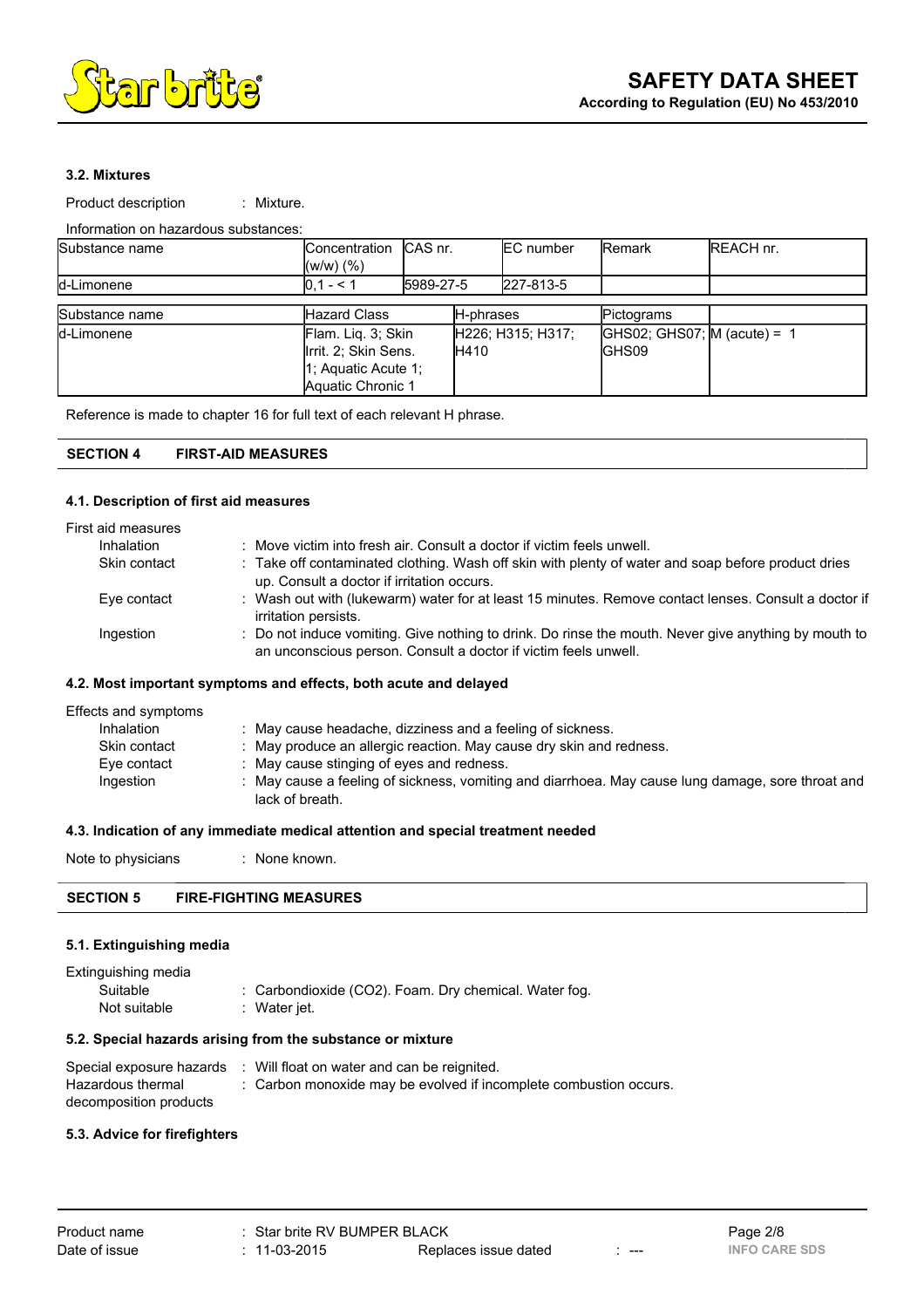

# **3.2. Mixtures**

Product description : Mixture.

# Information on hazardous substances:

| Substance name | Concentration<br>$(W/W)$ $(\%)$ | ICAS nr.  |       | <b>EC</b> number  | <b>IRemark</b>                | <b>REACH nr.</b> |
|----------------|---------------------------------|-----------|-------|-------------------|-------------------------------|------------------|
| d-Limonene     | $10.1 - 5.1$                    | 5989-27-5 |       | 227-813-5         |                               |                  |
|                |                                 |           |       |                   |                               |                  |
| Substance name | <b>Hazard Class</b>             | H-phrases |       | Pictograms        |                               |                  |
| d-Limonene     | Flam. Liq. 3; Skin              |           |       | H226; H315; H317; | GHS02; GHS07; $M$ (acute) = 1 |                  |
|                | Irrit. 2; Skin Sens.            |           | IH410 |                   | <b>GHS09</b>                  |                  |
|                | 1; Aquatic Acute 1;             |           |       |                   |                               |                  |
|                | Aquatic Chronic 1               |           |       |                   |                               |                  |

Reference is made to chapter 16 for full text of each relevant H phrase.

# **SECTION 4 FIRST-AID MEASURES**

#### **4.1. Description of first aid measures**

| First aid measures |                                                                                                                                                                         |
|--------------------|-------------------------------------------------------------------------------------------------------------------------------------------------------------------------|
| Inhalation         | : Move victim into fresh air. Consult a doctor if victim feels unwell.                                                                                                  |
| Skin contact       | : Take off contaminated clothing. Wash off skin with plenty of water and soap before product dries<br>up. Consult a doctor if irritation occurs.                        |
| Eye contact        | : Wash out with (lukewarm) water for at least 15 minutes. Remove contact lenses. Consult a doctor if<br>irritation persists.                                            |
| Ingestion          | : Do not induce vomiting. Give nothing to drink. Do rinse the mouth. Never give anything by mouth to<br>an unconscious person. Consult a doctor if victim feels unwell. |

## **4.2. Most important symptoms and effects, both acute and delayed**

| Effects and symptoms |                                                                                                                    |
|----------------------|--------------------------------------------------------------------------------------------------------------------|
| Inhalation           | May cause headache, dizziness and a feeling of sickness.                                                           |
| Skin contact         | May produce an allergic reaction. May cause dry skin and redness.                                                  |
| Eye contact          | : May cause stinging of eyes and redness.                                                                          |
| Ingestion            | May cause a feeling of sickness, vomiting and diarrhoea. May cause lung damage, sore throat and<br>lack of breath. |

#### **4.3. Indication of any immediate medical attention and special treatment needed**

Note to physicians : None known.

| <b>FIRE-FIGHTING MEASURES</b><br><b>SECTION 5</b> |
|---------------------------------------------------|

# **5.1. Extinguishing media**

| Extinguishing media |                                                       |
|---------------------|-------------------------------------------------------|
| Suitable            | : Carbondioxide (CO2). Foam. Dry chemical. Water fog. |
| Not suitable        | : Water jet.                                          |

# **5.2. Special hazards arising from the substance or mixture**

| Special exposure hazards | : Will float on water and can be reignited.                       |
|--------------------------|-------------------------------------------------------------------|
| Hazardous thermal        | : Carbon monoxide may be evolved if incomplete combustion occurs. |
| decomposition products   |                                                                   |

#### **5.3. Advice for firefighters**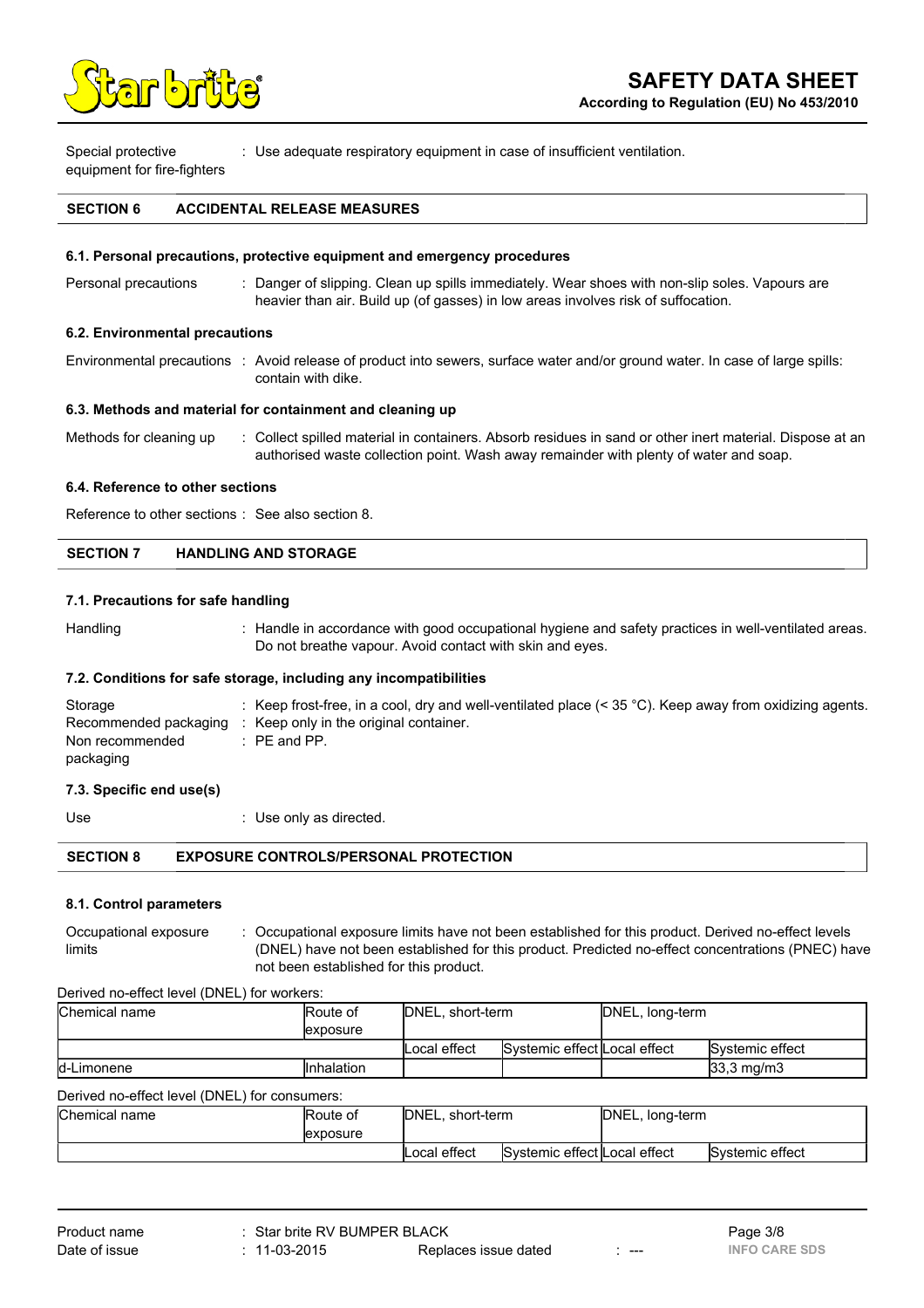

Special protective equipment for fire-fighters : Use adequate respiratory equipment in case of insufficient ventilation.

# **SECTION 6 ACCIDENTAL RELEASE MEASURES**

## **6.1. Personal precautions, protective equipment and emergency procedures**

Personal precautions : Danger of slipping. Clean up spills immediately. Wear shoes with non-slip soles. Vapours are heavier than air. Build up (of gasses) in low areas involves risk of suffocation.

#### **6.2. Environmental precautions**

Environmental precautions : Avoid release of product into sewers, surface water and/or ground water. In case of large spills: contain with dike.

#### **6.3. Methods and material for containment and cleaning up**

Methods for cleaning up : Collect spilled material in containers. Absorb residues in sand or other inert material. Dispose at an authorised waste collection point. Wash away remainder with plenty of water and soap.

## **6.4. Reference to other sections**

Reference to other sections : See also section 8.

| <b>SECTION 7</b> | <b>HANDLING AND STORAGE</b> |  |
|------------------|-----------------------------|--|
|------------------|-----------------------------|--|

## **7.1. Precautions for safe handling**

Handling : Handle in accordance with good occupational hygiene and safety practices in well-ventilated areas. Do not breathe vapour. Avoid contact with skin and eyes.

#### **7.2. Conditions for safe storage, including any incompatibilities**

| Storage               | Keep frost-free, in a cool, dry and well-ventilated place (< $35\degree$ C). Keep away from oxidizing agents. |
|-----------------------|---------------------------------------------------------------------------------------------------------------|
| Recommended packaging | Keep only in the original container.                                                                          |
| Non recommended       | $\therefore$ PE and PP.                                                                                       |
| packaging             |                                                                                                               |

# **7.3. Specific end use(s)**

Use  $\qquad \qquad$  : Use only as directed.

| <b>EXPOSURE CONTROLS/PERSONAL PROTECTION</b> |
|----------------------------------------------|
|                                              |

#### **8.1. Control parameters**

Occupational exposure limits : Occupational exposure limits have not been established for this product. Derived no-effect levels (DNEL) have not been established for this product. Predicted no-effect concentrations (PNEC) have not been established for this product.

Derived no-effect level (DNEL) for workers:

| Chemical name                                 | Route of            | DNEL, short-term |                              | DNEL, long-term |                     |
|-----------------------------------------------|---------------------|------------------|------------------------------|-----------------|---------------------|
|                                               | <b>lexposure</b>    |                  |                              |                 |                     |
|                                               |                     | Local effect     | Systemic effect Local effect |                 | Systemic effect     |
| d-Limonene                                    | <b>I</b> Inhalation |                  |                              |                 | $33.3 \text{ mg/m}$ |
| Derived no-effect level (DNEL) for consumers: |                     |                  |                              |                 |                     |

| Chemical name | <b>Route of</b> | DNEL, short-term |                              | DNEL, long-term |                 |
|---------------|-----------------|------------------|------------------------------|-----------------|-----------------|
|               | lexposure       |                  |                              |                 |                 |
|               |                 | Local effect     | Systemic effect Local effect |                 | Systemic effect |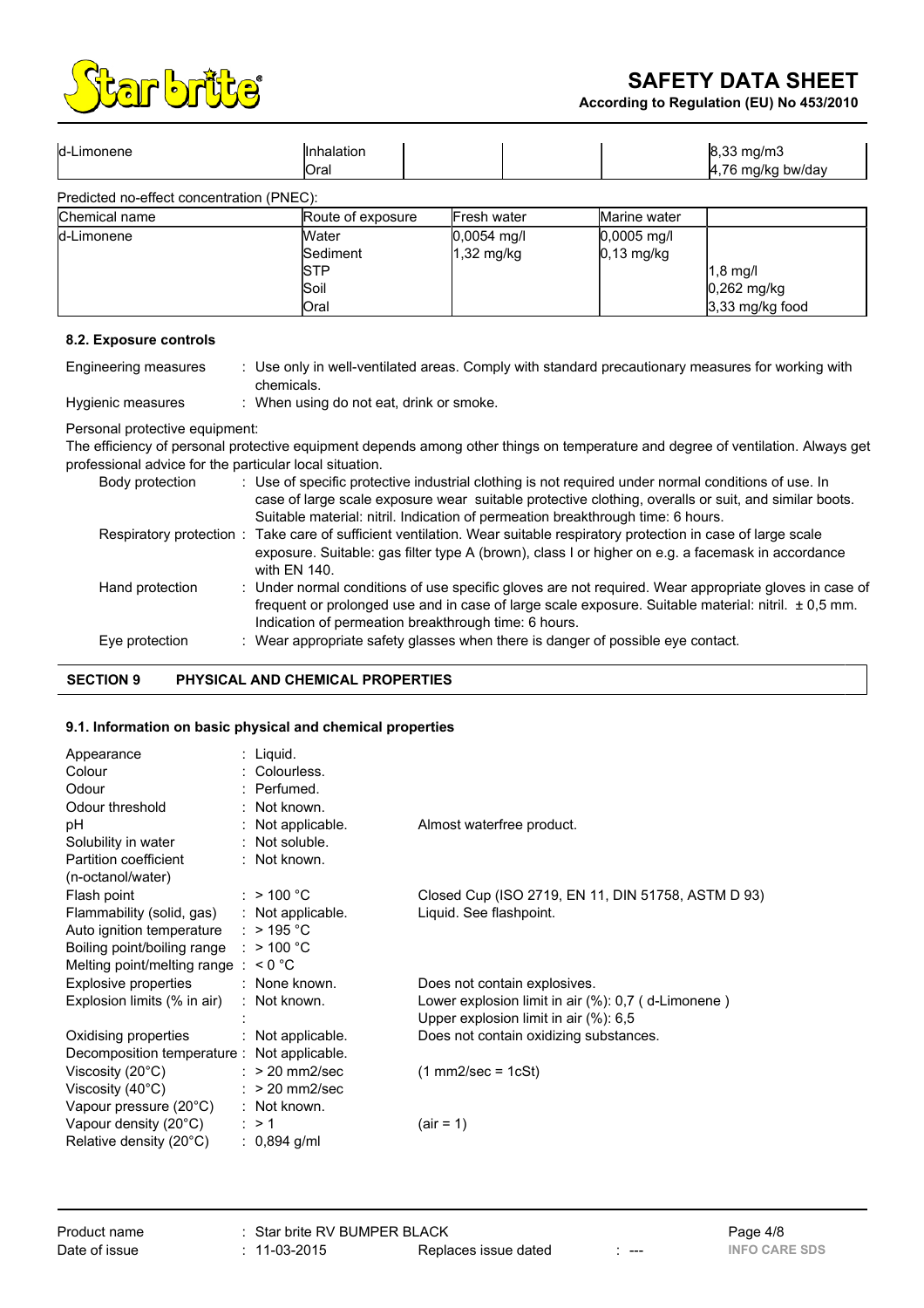

**According to Regulation (EU) No 453/2010**



| d-Limonene                                | <b>Inhalation</b><br><b>IOral</b> |               |               | $8,33$ mg/m $3$<br>4,76 mg/kg bw/day |
|-------------------------------------------|-----------------------------------|---------------|---------------|--------------------------------------|
| Predicted no-effect concentration (PNEC): |                                   |               |               |                                      |
| Chemical name                             | Route of exposure                 | Fresh water   | Marine water  |                                      |
| d-Limonene                                | Water                             | $0,0054$ mg/l | $0,0005$ mg/l |                                      |
|                                           | Sediment                          | 1,32 mg/kg    | $0,13$ mg/kg  |                                      |
|                                           | ISTP                              |               |               | $1,8$ mg/l                           |
|                                           | Soil                              |               |               | 0,262 mg/kg                          |

Oral 3,33 mg/kg food

#### **8.2. Exposure controls**

| Engineering measures                                                                      | : Use only in well-ventilated areas. Comply with standard precautionary measures for working with<br>chemicals.                 |
|-------------------------------------------------------------------------------------------|---------------------------------------------------------------------------------------------------------------------------------|
| Hygienic measures                                                                         | : When using do not eat, drink or smoke.                                                                                        |
| Personal protective equipment:<br>professional advice for the particular local situation. | The efficiency of personal protective equipment depends among other things on temperature and degree of ventilation. Always get |

| Body protection | : Use of specific protective industrial clothing is not required under normal conditions of use. In<br>case of large scale exposure wear suitable protective clothing, overalls or suit, and similar boots.      |
|-----------------|------------------------------------------------------------------------------------------------------------------------------------------------------------------------------------------------------------------|
|                 | Suitable material: nitril. Indication of permeation breakthrough time: 6 hours.                                                                                                                                  |
|                 | Respiratory protection: Take care of sufficient ventilation. Wear suitable respiratory protection in case of large scale                                                                                         |
|                 | exposure. Suitable: gas filter type A (brown), class I or higher on e.g. a facemask in accordance<br>with EN 140.                                                                                                |
| Hand protection | : Under normal conditions of use specific gloves are not required. Wear appropriate gloves in case of<br>frequent or prolonged use and in case of large scale exposure. Suitable material: nitril. $\pm 0.5$ mm. |
|                 | Indication of permeation breakthrough time: 6 hours.                                                                                                                                                             |
| Eye protection  | : Wear appropriate safety glasses when there is danger of possible eye contact.                                                                                                                                  |
|                 |                                                                                                                                                                                                                  |

## **SECTION 9 PHYSICAL AND CHEMICAL PROPERTIES**

# **9.1. Information on basic physical and chemical properties**

| Appearance<br>Colour<br>Odour<br>Odour threshold | : Liquid.<br>Colourless.<br>: Perfumed.<br>: Not known. |                                                                                                     |
|--------------------------------------------------|---------------------------------------------------------|-----------------------------------------------------------------------------------------------------|
| рH                                               | : Not applicable.                                       | Almost waterfree product.                                                                           |
| Solubility in water<br>Partition coefficient     | : Not soluble.<br>: Not known.                          |                                                                                                     |
| (n-octanol/water)                                |                                                         |                                                                                                     |
| Flash point                                      | : $> 100 °C$                                            | Closed Cup (ISO 2719, EN 11, DIN 51758, ASTM D 93)                                                  |
| Flammability (solid, gas)                        | : Not applicable.                                       | Liquid. See flashpoint.                                                                             |
| Auto ignition temperature                        | : $>$ 195 °C                                            |                                                                                                     |
| Boiling point/boiling range                      | : $> 100 °C$                                            |                                                                                                     |
| Melting point/melting range $: < 0$ °C           |                                                         |                                                                                                     |
| Explosive properties                             | : None known.                                           | Does not contain explosives.                                                                        |
| Explosion limits (% in air)                      | : Not known.                                            | Lower explosion limit in air $(\%)$ : 0,7 (d-Limonene)<br>Upper explosion limit in air $(\%)$ : 6,5 |
| Oxidising properties                             | : Not applicable.                                       | Does not contain oxidizing substances.                                                              |
| Decomposition temperature : Not applicable.      |                                                         |                                                                                                     |
| Viscosity $(20^{\circ}C)$                        | $:$ > 20 mm2/sec                                        | $(1$ mm2/sec = 1cSt)                                                                                |
| Viscosity $(40^{\circ}C)$                        | $:$ > 20 mm2/sec                                        |                                                                                                     |
| Vapour pressure (20°C)                           | : Not known.                                            |                                                                                                     |
| Vapour density (20°C)                            | $\therefore$ > 1                                        | (air = 1)                                                                                           |
| Relative density $(20^{\circ}C)$                 | : $0,894$ g/ml                                          |                                                                                                     |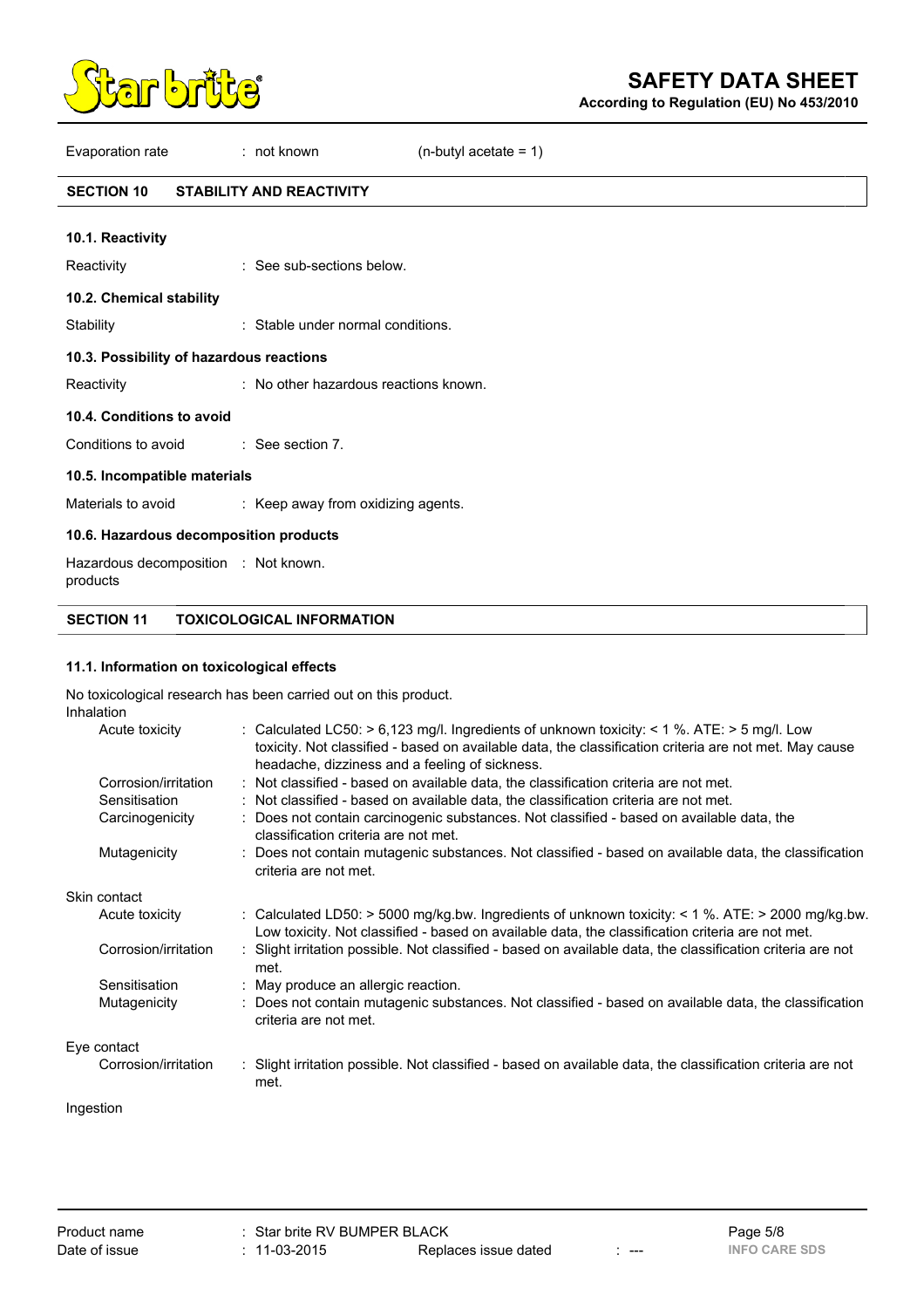

**According to Regulation (EU) No 453/2010**

Evaporation rate : not known (n-butyl acetate = 1)

# **SECTION 10 STABILITY AND REACTIVITY**

| 10.1. Reactivity                                 |                                       |
|--------------------------------------------------|---------------------------------------|
| Reactivity                                       | : See sub-sections below.             |
| 10.2. Chemical stability                         |                                       |
| Stability                                        | : Stable under normal conditions.     |
| 10.3. Possibility of hazardous reactions         |                                       |
| Reactivity                                       | : No other hazardous reactions known. |
| 10.4. Conditions to avoid                        |                                       |
| Conditions to avoid : See section 7.             |                                       |
| 10.5. Incompatible materials                     |                                       |
| Materials to avoid                               | : Keep away from oxidizing agents.    |
| 10.6. Hazardous decomposition products           |                                       |
| Hazardous decomposition : Not known.<br>products |                                       |

**SECTION 11 TOXICOLOGICAL INFORMATION**

## **11.1. Information on toxicological effects**

No toxicological research has been carried out on this product. Inhalation

| 11 11 12 12 11 V 1 1 |                                                                                                                                                                                                                                                               |
|----------------------|---------------------------------------------------------------------------------------------------------------------------------------------------------------------------------------------------------------------------------------------------------------|
| Acute toxicity       | : Calculated LC50: $> 6,123$ mg/l. Ingredients of unknown toxicity: $< 1$ %. ATE: $> 5$ mg/l. Low<br>toxicity. Not classified - based on available data, the classification criteria are not met. May cause<br>headache, dizziness and a feeling of sickness. |
| Corrosion/irritation | : Not classified - based on available data, the classification criteria are not met.                                                                                                                                                                          |
| Sensitisation        | : Not classified - based on available data, the classification criteria are not met.                                                                                                                                                                          |
| Carcinogenicity      | Does not contain carcinogenic substances. Not classified - based on available data, the<br>classification criteria are not met.                                                                                                                               |
| Mutagenicity         | Does not contain mutagenic substances. Not classified - based on available data, the classification<br>criteria are not met.                                                                                                                                  |
| Skin contact         |                                                                                                                                                                                                                                                               |
| Acute toxicity       | : Calculated LD50: > 5000 mg/kg.bw. Ingredients of unknown toxicity: < 1 %. ATE: > 2000 mg/kg.bw.<br>Low toxicity. Not classified - based on available data, the classification criteria are not met.                                                         |
| Corrosion/irritation | Slight irritation possible. Not classified - based on available data, the classification criteria are not<br>met.                                                                                                                                             |
| Sensitisation        | : May produce an allergic reaction.                                                                                                                                                                                                                           |
| Mutagenicity         | Does not contain mutagenic substances. Not classified - based on available data, the classification<br>criteria are not met.                                                                                                                                  |
| Eye contact          |                                                                                                                                                                                                                                                               |
| Corrosion/irritation | : Slight irritation possible. Not classified - based on available data, the classification criteria are not<br>met.                                                                                                                                           |
|                      |                                                                                                                                                                                                                                                               |

# Ingestion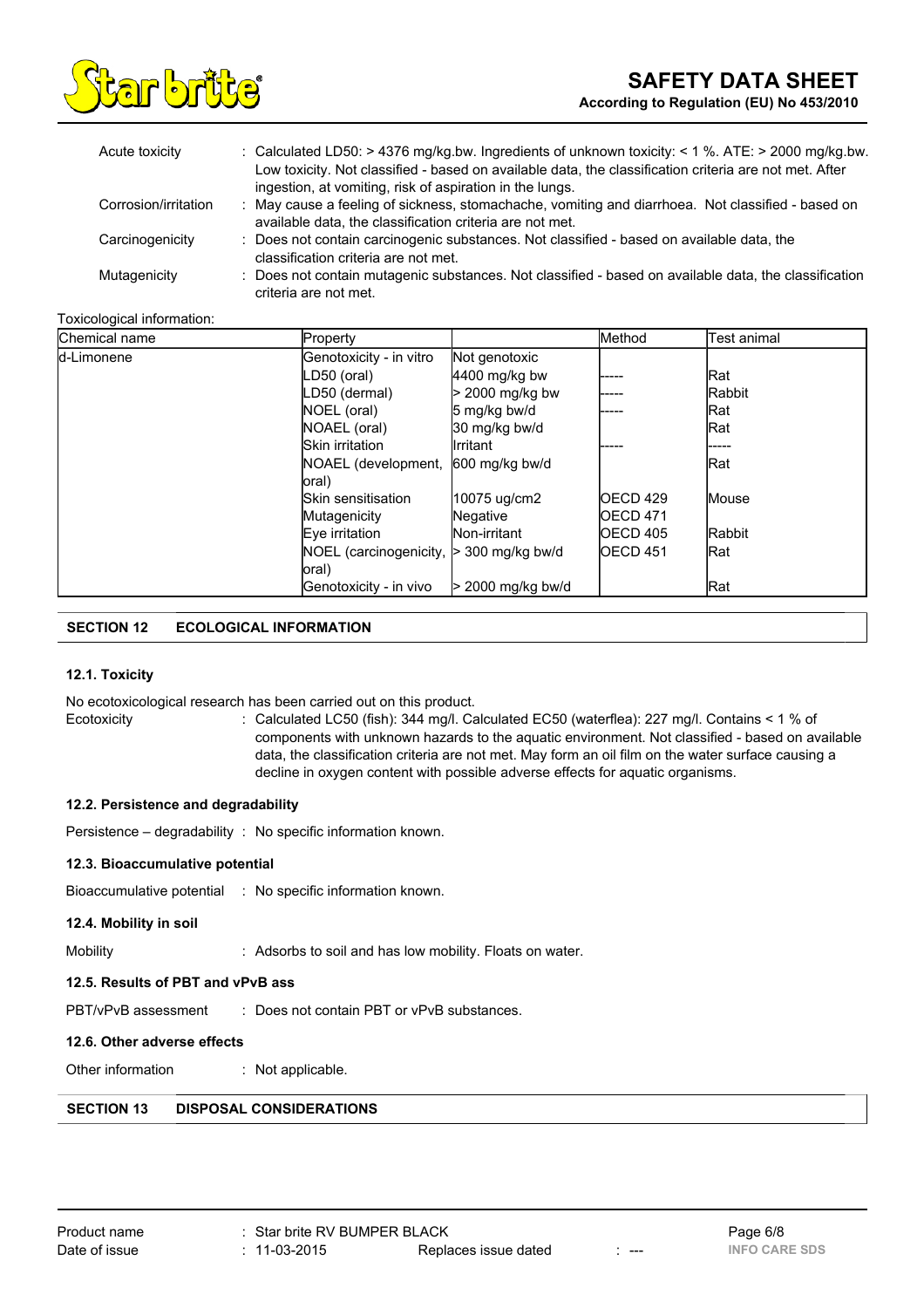

| Acute toxicity       | : Calculated LD50: $>$ 4376 mg/kg.bw. Ingredients of unknown toxicity: $<$ 1 %. ATE: $>$ 2000 mg/kg.bw.                                                       |
|----------------------|---------------------------------------------------------------------------------------------------------------------------------------------------------------|
|                      | Low toxicity. Not classified - based on available data, the classification criteria are not met. After                                                        |
|                      | ingestion, at vomiting, risk of aspiration in the lungs.                                                                                                      |
| Corrosion/irritation | : May cause a feeling of sickness, stomachache, vomiting and diarrhoea. Not classified - based on<br>available data, the classification criteria are not met. |
|                      |                                                                                                                                                               |
| Carcinogenicity      | : Does not contain carcinogenic substances. Not classified - based on available data, the                                                                     |
|                      | classification criteria are not met.                                                                                                                          |
| Mutagenicity         | : Does not contain mutagenic substances. Not classified - based on available data, the classification                                                         |
|                      | criteria are not met.                                                                                                                                         |

#### Toxicological information:

| Chemical name | Property                  |                    | Method           | Test animal   |
|---------------|---------------------------|--------------------|------------------|---------------|
| d-Limonene    | Genotoxicity - in vitro   | Not genotoxic      |                  |               |
|               | LD50 (oral)               | $4400$ mg/kg bw    |                  | Rat           |
|               | LD50 (dermal)             | > 2000 mg/kg bw    | .                | <b>Rabbit</b> |
|               | NOEL (oral)               | 5 mg/kg bw/d       | .                | Rat           |
|               | NOAEL (oral)              | 30 mg/kg bw/d      |                  | Rat           |
|               | Skin irritation           | Ilrritant          |                  | -----         |
|               | NOAEL (development,       | 600 mg/kg bw/d     |                  | Rat           |
|               | loral)                    |                    |                  |               |
|               | <b>Skin sensitisation</b> | 10075 ug/cm2       | <b>IOECD 429</b> | lMouse        |
|               | Mutagenicity              | Negative           | <b>IOECD 471</b> |               |
|               | Eve irritation            | Non-irritant       | <b>IOECD 405</b> | <b>Rabbit</b> |
|               | NOEL (carcinogenicity,    | $>$ 300 mg/kg bw/d | <b>OECD 451</b>  | Rat           |
|               | loral)                    |                    |                  |               |
|               | Genotoxicity - in vivo    | 2000 mg/kg bw/d    |                  | Rat           |

# **SECTION 12 ECOLOGICAL INFORMATION**

#### **12.1. Toxicity**

No ecotoxicological research has been carried out on this product.

Ecotoxicity : Calculated LC50 (fish): 344 mg/l. Calculated EC50 (waterflea): 227 mg/l. Contains < 1 % of components with unknown hazards to the aquatic environment. Not classified - based on available data, the classification criteria are not met. May form an oil film on the water surface causing a decline in oxygen content with possible adverse effects for aquatic organisms.

#### **12.2. Persistence and degradability**

Persistence – degradability : No specific information known.

#### **12.3. Bioaccumulative potential**

Bioaccumulative potential : No specific information known.

**12.4. Mobility in soil**

Mobility **Mobility** : Adsorbs to soil and has low mobility. Floats on water.

## **12.5. Results of PBT and vPvB ass**

PBT/vPvB assessment : Does not contain PBT or vPvB substances.

#### **12.6. Other adverse effects**

Other information : Not applicable.

# **SECTION 13 DISPOSAL CONSIDERATIONS**

| Product name  |
|---------------|
| Date of issue |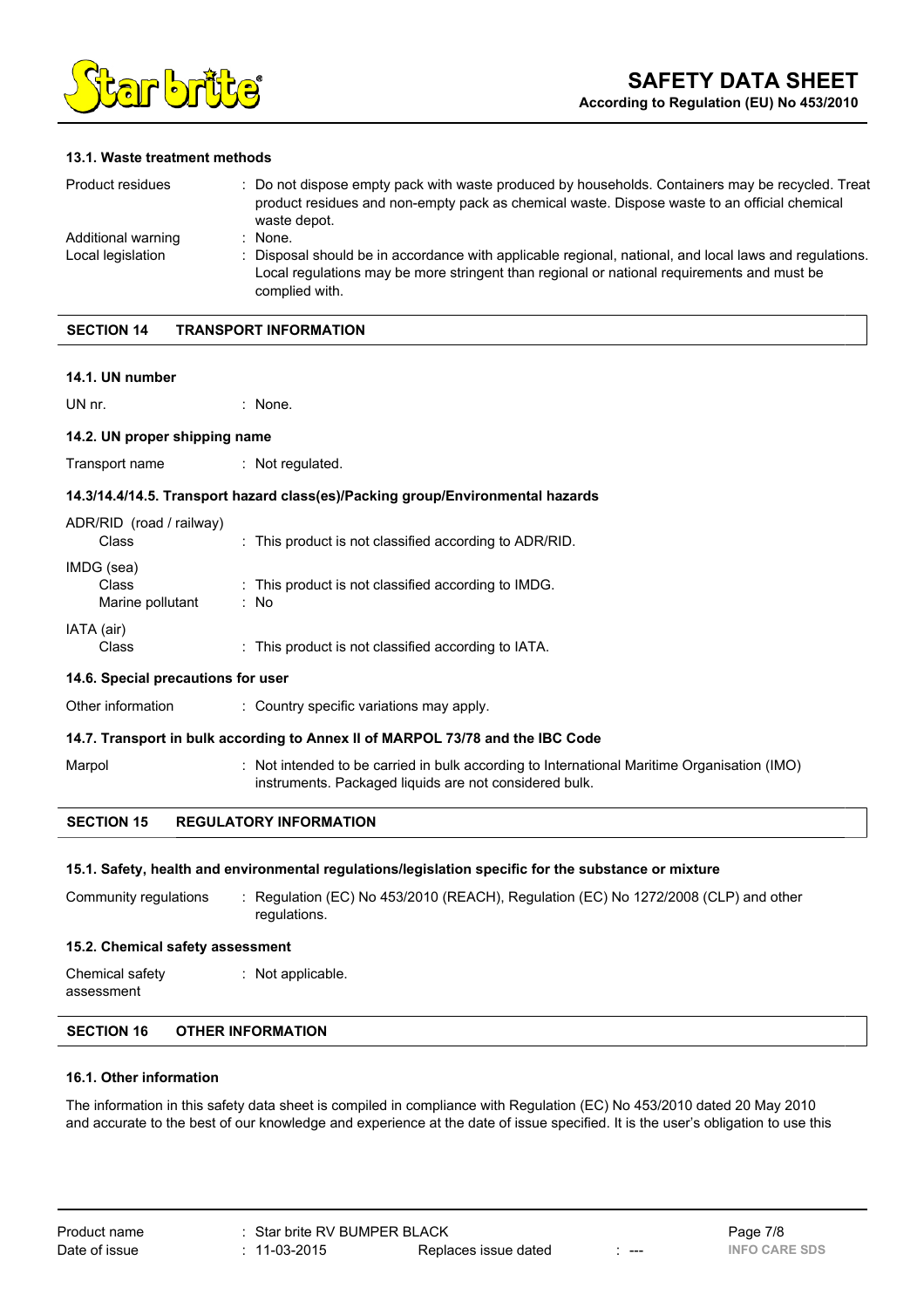

## **13.1. Waste treatment methods**

| Product residues                        | : Do not dispose empty pack with waste produced by households. Containers may be recycled. Treat<br>product residues and non-empty pack as chemical waste. Dispose waste to an official chemical<br>waste depot.              |
|-----------------------------------------|-------------------------------------------------------------------------------------------------------------------------------------------------------------------------------------------------------------------------------|
| Additional warning<br>Local legislation | None.<br>Disposal should be in accordance with applicable regional, national, and local laws and regulations.<br>Local regulations may be more stringent than regional or national requirements and must be<br>complied with. |

#### **SECTION 14 TRANSPORT INFORMATION**

#### **14.1. UN number**

UN nr. the contract of the contract of the contract of the contract of the contract of the contract of the contract of the contract of the contract of the contract of the contract of the contract of the contract of the con

#### **14.2. UN proper shipping name**

Transport name : Not regulated.

#### **14.3/14.4/14.5. Transport hazard class(es)/Packing group/Environmental hazards**

| ADR/RID (road / railway)<br>Class       | : This product is not classified according to ADR/RID.      |
|-----------------------------------------|-------------------------------------------------------------|
| IMDG (sea)<br>Class<br>Marine pollutant | : This product is not classified according to IMDG.<br>: No |
| IATA (air)<br>Class                     | : This product is not classified according to IATA.         |

#### **14.6. Special precautions for user**

Other information : Country specific variations may apply.

## **14.7. Transport in bulk according to Annex II of MARPOL 73/78 and the IBC Code**

Marpol : Not intended to be carried in bulk according to International Maritime Organisation (IMO) instruments. Packaged liquids are not considered bulk.

# **SECTION 15 REGULATORY INFORMATION**

#### **15.1. Safety, health and environmental regulations/legislation specific for the substance or mixture**

Community regulations : Regulation (EC) No 453/2010 (REACH), Regulation (EC) No 1272/2008 (CLP) and other regulations.

#### **15.2. Chemical safety assessment**

Chemical safety assessment : Not applicable.

# **SECTION 16 OTHER INFORMATION**

# **16.1. Other information**

The information in this safety data sheet is compiled in compliance with Regulation (EC) No 453/2010 dated 20 May 2010 and accurate to the best of our knowledge and experience at the date of issue specified. It is the user's obligation to use this